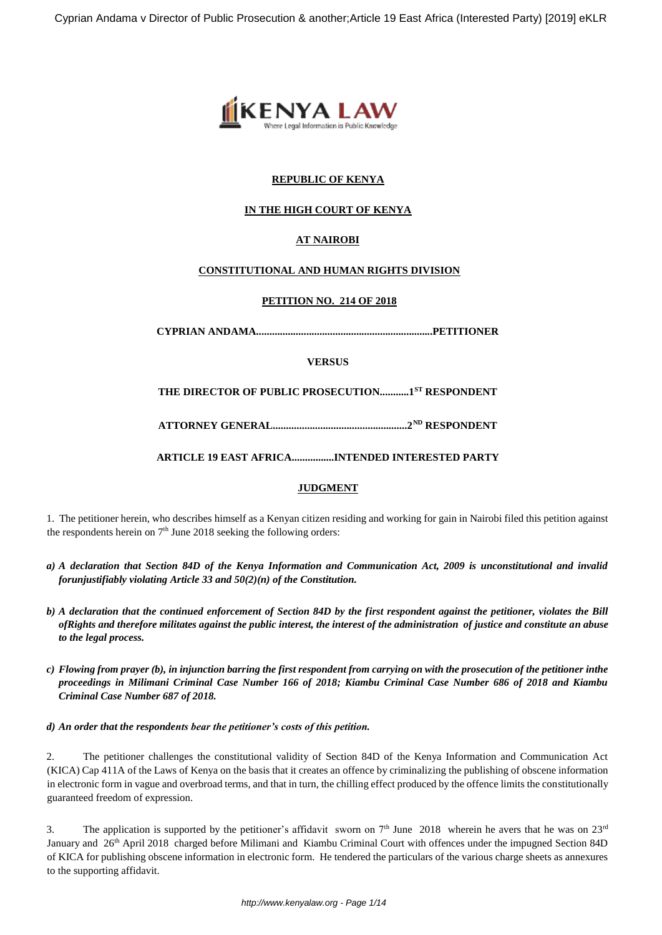

## **REPUBLIC OF KENYA**

## **IN THE HIGH COURT OF KENYA**

# **AT NAIROBI**

## **CONSTITUTIONAL AND HUMAN RIGHTS DIVISION**

## **PETITION NO. 214 OF 2018**

**CYPRIAN ANDAMA...................................................................PETITIONER**

**VERSUS**

**THE DIRECTOR OF PUBLIC PROSECUTION...........1ST RESPONDENT**

**ATTORNEY GENERAL...................................................2ND RESPONDENT**

**ARTICLE 19 EAST AFRICA................INTENDED INTERESTED PARTY**

## **JUDGMENT**

1. The petitioner herein, who describes himself as a Kenyan citizen residing and working for gain in Nairobi filed this petition against the respondents herein on  $7<sup>th</sup>$  June 2018 seeking the following orders:

- *a) A declaration that Section 84D of the Kenya Information and Communication Act, 2009 is unconstitutional and invalid forunjustifiably violating Article 33 and 50(2)(n) of the Constitution.*
- *b) A declaration that the continued enforcement of Section 84D by the first respondent against the petitioner, violates the Bill ofRights and therefore militates against the public interest, the interest of the administration of justice and constitute an abuse to the legal process.*
- *c) Flowing from prayer (b), in injunction barring the first respondent from carrying on with the prosecution of the petitioner inthe proceedings in Milimani Criminal Case Number 166 of 2018; Kiambu Criminal Case Number 686 of 2018 and Kiambu Criminal Case Number 687 of 2018.*

#### *d) An order that the respondents bear the petitioner's costs of this petition.*

2. The petitioner challenges the constitutional validity of Section 84D of the Kenya Information and Communication Act (KICA) Cap 411A of the Laws of Kenya on the basis that it creates an offence by criminalizing the publishing of obscene information in electronic form in vague and overbroad terms, and that in turn, the chilling effect produced by the offence limits the constitutionally guaranteed freedom of expression.

3. The application is supported by the petitioner's affidavit sworn on  $7<sup>th</sup>$  June 2018 wherein he avers that he was on  $23<sup>rd</sup>$ January and 26<sup>th</sup> April 2018 charged before Milimani and Kiambu Criminal Court with offences under the impugned Section 84D of KICA for publishing obscene information in electronic form. He tendered the particulars of the various charge sheets as annexures to the supporting affidavit.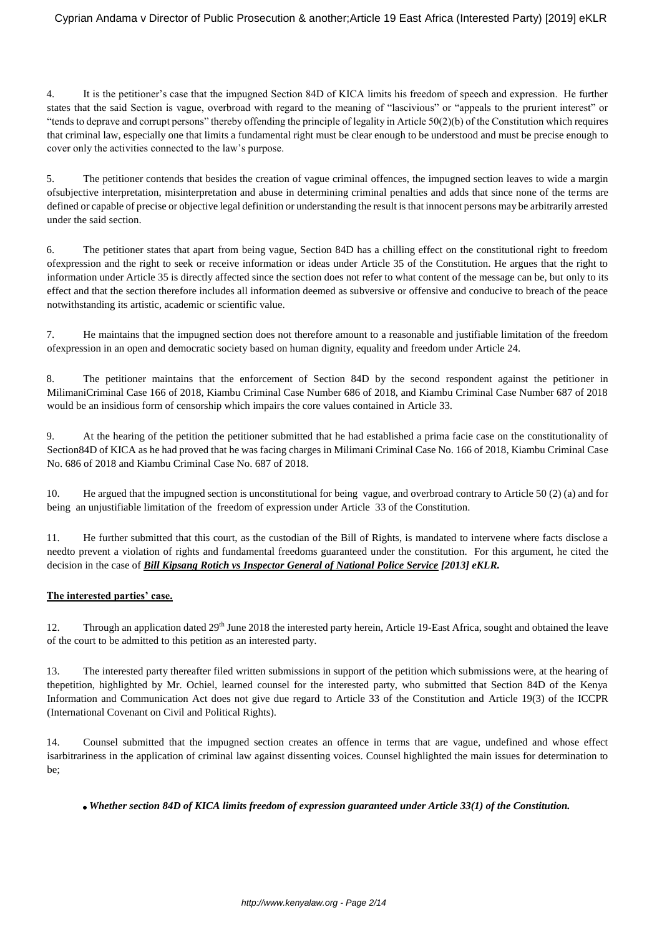4. It is the petitioner's case that the impugned Section 84D of KICA limits his freedom of speech and expression. He further states that the said Section is vague, overbroad with regard to the meaning of "lascivious" or "appeals to the prurient interest" or "tends to deprave and corrupt persons" thereby offending the principle of legality in Article  $50(2)(b)$  of the Constitution which requires that criminal law, especially one that limits a fundamental right must be clear enough to be understood and must be precise enough to cover only the activities connected to the law's purpose.

5. The petitioner contends that besides the creation of vague criminal offences, the impugned section leaves to wide a margin ofsubjective interpretation, misinterpretation and abuse in determining criminal penalties and adds that since none of the terms are defined or capable of precise or objective legal definition or understanding the result is that innocent persons may be arbitrarily arrested under the said section.

6. The petitioner states that apart from being vague, Section 84D has a chilling effect on the constitutional right to freedom ofexpression and the right to seek or receive information or ideas under Article 35 of the Constitution. He argues that the right to information under Article 35 is directly affected since the section does not refer to what content of the message can be, but only to its effect and that the section therefore includes all information deemed as subversive or offensive and conducive to breach of the peace notwithstanding its artistic, academic or scientific value.

7. He maintains that the impugned section does not therefore amount to a reasonable and justifiable limitation of the freedom ofexpression in an open and democratic society based on human dignity, equality and freedom under Article 24.

8. The petitioner maintains that the enforcement of Section 84D by the second respondent against the petitioner in MilimaniCriminal Case 166 of 2018, Kiambu Criminal Case Number 686 of 2018, and Kiambu Criminal Case Number 687 of 2018 would be an insidious form of censorship which impairs the core values contained in Article 33.

9. At the hearing of the petition the petitioner submitted that he had established a prima facie case on the constitutionality of Section84D of KICA as he had proved that he was facing charges in Milimani Criminal Case No. 166 of 2018, Kiambu Criminal Case No. 686 of 2018 and Kiambu Criminal Case No. 687 of 2018.

10. He argued that the impugned section is unconstitutional for being vague, and overbroad contrary to Article 50 (2) (a) and for being an unjustifiable limitation of the freedom of expression under Article 33 of the Constitution.

11. He further submitted that this court, as the custodian of the Bill of Rights, is mandated to intervene where facts disclose a needto prevent a violation of rights and fundamental freedoms guaranteed under the constitution. For this argument, he cited the decision in the case of *Bill Kipsang Rotich vs Inspector General of National Police Service [2013] eKLR.*

## **The interested parties' case.**

12. Through an application dated 29<sup>th</sup> June 2018 the interested party herein, Article 19-East Africa, sought and obtained the leave of the court to be admitted to this petition as an interested party.

13. The interested party thereafter filed written submissions in support of the petition which submissions were, at the hearing of thepetition, highlighted by Mr. Ochiel, learned counsel for the interested party, who submitted that Section 84D of the Kenya Information and Communication Act does not give due regard to Article 33 of the Constitution and Article 19(3) of the ICCPR (International Covenant on Civil and Political Rights).

14. Counsel submitted that the impugned section creates an offence in terms that are vague, undefined and whose effect isarbitrariness in the application of criminal law against dissenting voices. Counsel highlighted the main issues for determination to be;

*Whether section 84D of KICA limits freedom of expression guaranteed under Article 33(1) of the Constitution.*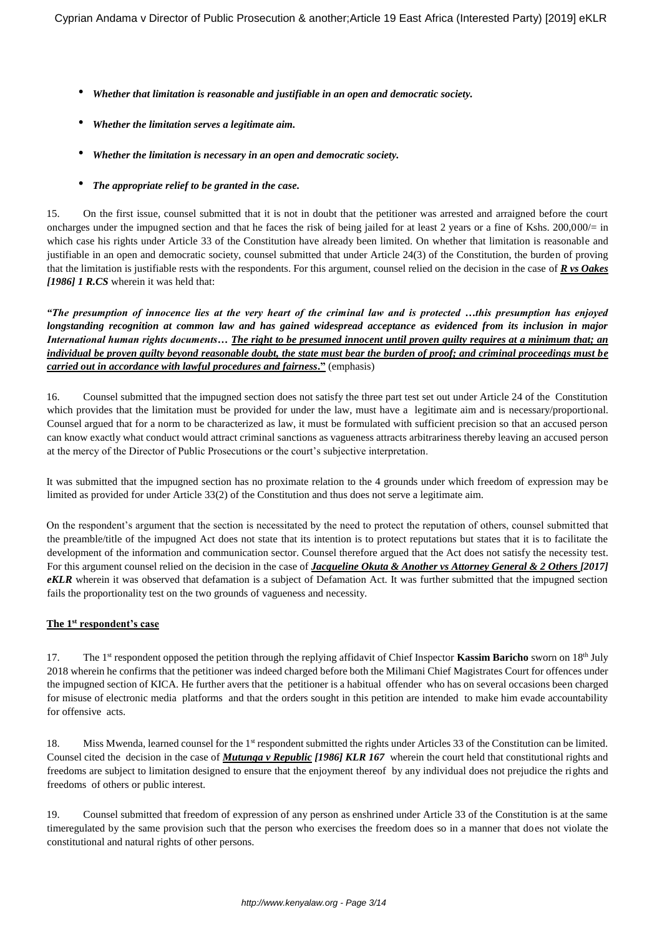- *Whether that limitation is reasonable and justifiable in an open and democratic society.*
- *Whether the limitation serves a legitimate aim.*
- *Whether the limitation is necessary in an open and democratic society.*
- *The appropriate relief to be granted in the case.*

15. On the first issue, counsel submitted that it is not in doubt that the petitioner was arrested and arraigned before the court oncharges under the impugned section and that he faces the risk of being jailed for at least 2 years or a fine of Kshs. 200,000/= in which case his rights under Article 33 of the Constitution have already been limited. On whether that limitation is reasonable and justifiable in an open and democratic society, counsel submitted that under Article 24(3) of the Constitution, the burden of proving that the limitation is justifiable rests with the respondents. For this argument, counsel relied on the decision in the case of *R vs Oakes [1986] 1 R.CS* wherein it was held that:

*"The presumption of innocence lies at the very heart of the criminal law and is protected …this presumption has enjoyed longstanding recognition at common law and has gained widespread acceptance as evidenced from its inclusion in major International human rights documents… The right to be presumed innocent until proven guilty requires at a minimum that; an individual be proven guilty beyond reasonable doubt, the state must bear the burden of proof; and criminal proceedings must be carried out in accordance with lawful procedures and fairness***."** (emphasis)

16. Counsel submitted that the impugned section does not satisfy the three part test set out under Article 24 of the Constitution which provides that the limitation must be provided for under the law, must have a legitimate aim and is necessary/proportional. Counsel argued that for a norm to be characterized as law, it must be formulated with sufficient precision so that an accused person can know exactly what conduct would attract criminal sanctions as vagueness attracts arbitrariness thereby leaving an accused person at the mercy of the Director of Public Prosecutions or the court's subjective interpretation.

It was submitted that the impugned section has no proximate relation to the 4 grounds under which freedom of expression may be limited as provided for under Article 33(2) of the Constitution and thus does not serve a legitimate aim.

On the respondent's argument that the section is necessitated by the need to protect the reputation of others, counsel submitted that the preamble/title of the impugned Act does not state that its intention is to protect reputations but states that it is to facilitate the development of the information and communication sector. Counsel therefore argued that the Act does not satisfy the necessity test. For this argument counsel relied on the decision in the case of *Jacqueline Okuta & Another vs Attorney General & 2 Others [2017] eKLR* wherein it was observed that defamation is a subject of Defamation Act. It was further submitted that the impugned section fails the proportionality test on the two grounds of vagueness and necessity.

#### **The 1st respondent's case**

17. The 1st respondent opposed the petition through the replying affidavit of Chief Inspector **Kassim Baricho** sworn on 18th July 2018 wherein he confirms that the petitioner was indeed charged before both the Milimani Chief Magistrates Court for offences under the impugned section of KICA. He further avers that the petitioner is a habitual offender who has on several occasions been charged for misuse of electronic media platforms and that the orders sought in this petition are intended to make him evade accountability for offensive acts.

18. Miss Mwenda, learned counsel for the 1<sup>st</sup> respondent submitted the rights under Articles 33 of the Constitution can be limited. Counsel cited the decision in the case of *Mutunga v Republic [1986] KLR 167* wherein the court held that constitutional rights and freedoms are subject to limitation designed to ensure that the enjoyment thereof by any individual does not prejudice the rights and freedoms of others or public interest.

19. Counsel submitted that freedom of expression of any person as enshrined under Article 33 of the Constitution is at the same timeregulated by the same provision such that the person who exercises the freedom does so in a manner that does not violate the constitutional and natural rights of other persons.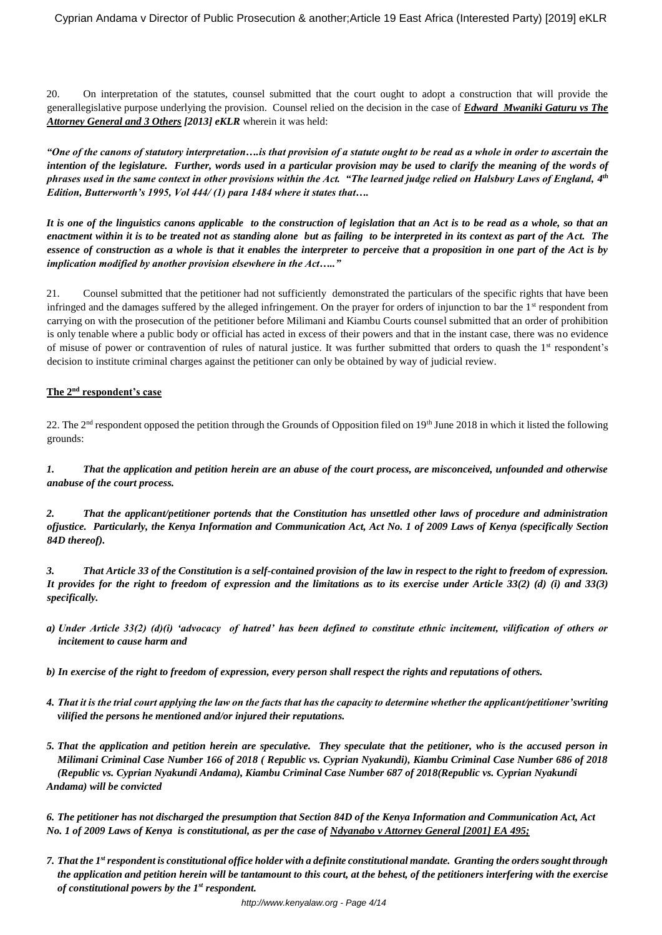20. On interpretation of the statutes, counsel submitted that the court ought to adopt a construction that will provide the generallegislative purpose underlying the provision. Counsel relied on the decision in the case of *Edward Mwaniki Gaturu vs The Attorney General and 3 Others [2013] eKLR* wherein it was held:

*"One of the canons of statutory interpretation….is that provision of a statute ought to be read as a whole in order to ascertain the intention of the legislature. Further, words used in a particular provision may be used to clarify the meaning of the words of phrases used in the same context in other provisions within the Act. "The learned judge relied on Halsbury Laws of England, 4 th Edition, Butterworth's 1995, Vol 444/ (1) para 1484 where it states that….*

*It is one of the linguistics canons applicable to the construction of legislation that an Act is to be read as a whole, so that an enactment within it is to be treated not as standing alone but as failing to be interpreted in its context as part of the Act. The essence of construction as a whole is that it enables the interpreter to perceive that a proposition in one part of the Act is by implication modified by another provision elsewhere in the Act….."*

21. Counsel submitted that the petitioner had not sufficiently demonstrated the particulars of the specific rights that have been infringed and the damages suffered by the alleged infringement. On the prayer for orders of injunction to bar the 1<sup>st</sup> respondent from carrying on with the prosecution of the petitioner before Milimani and Kiambu Courts counsel submitted that an order of prohibition is only tenable where a public body or official has acted in excess of their powers and that in the instant case, there was no evidence of misuse of power or contravention of rules of natural justice. It was further submitted that orders to quash the  $1<sup>st</sup>$  respondent's decision to institute criminal charges against the petitioner can only be obtained by way of judicial review.

# **The 2nd respondent's case**

22. The 2<sup>nd</sup> respondent opposed the petition through the Grounds of Opposition filed on 19<sup>th</sup> June 2018 in which it listed the following grounds:

*1. That the application and petition herein are an abuse of the court process, are misconceived, unfounded and otherwise anabuse of the court process.*

*2. That the applicant/petitioner portends that the Constitution has unsettled other laws of procedure and administration ofjustice. Particularly, the Kenya Information and Communication Act, Act No. 1 of 2009 Laws of Kenya (specifically Section 84D thereof).*

*3. That Article 33 of the Constitution is a self-contained provision of the law in respect to the right to freedom of expression. It provides for the right to freedom of expression and the limitations as to its exercise under Article 33(2) (d) (i) and 33(3) specifically.*

- *a) Under Article 33(2) (d)(i) 'advocacy of hatred' has been defined to constitute ethnic incitement, vilification of others or incitement to cause harm and*
- *b) In exercise of the right to freedom of expression, every person shall respect the rights and reputations of others.*
- *4. That it is the trial court applying the law on the facts that has the capacity to determine whether the applicant/petitioner'swriting vilified the persons he mentioned and/or injured their reputations.*
- *5. That the application and petition herein are speculative. They speculate that the petitioner, who is the accused person in Milimani Criminal Case Number 166 of 2018 ( Republic vs. Cyprian Nyakundi), Kiambu Criminal Case Number 686 of 2018 (Republic vs. Cyprian Nyakundi Andama), Kiambu Criminal Case Number 687 of 2018(Republic vs. Cyprian Nyakundi Andama) will be convicted*

*6. The petitioner has not discharged the presumption that Section 84D of the Kenya Information and Communication Act, Act No. 1 of 2009 Laws of Kenya is constitutional, as per the case of Ndyanabo v Attorney General [2001] EA 495;*

*7. That the 1strespondent is constitutional office holder with a definite constitutional mandate. Granting the orders sought through the application and petition herein will be tantamount to this court, at the behest, of the petitioners interfering with the exercise of constitutional powers by the 1st respondent.*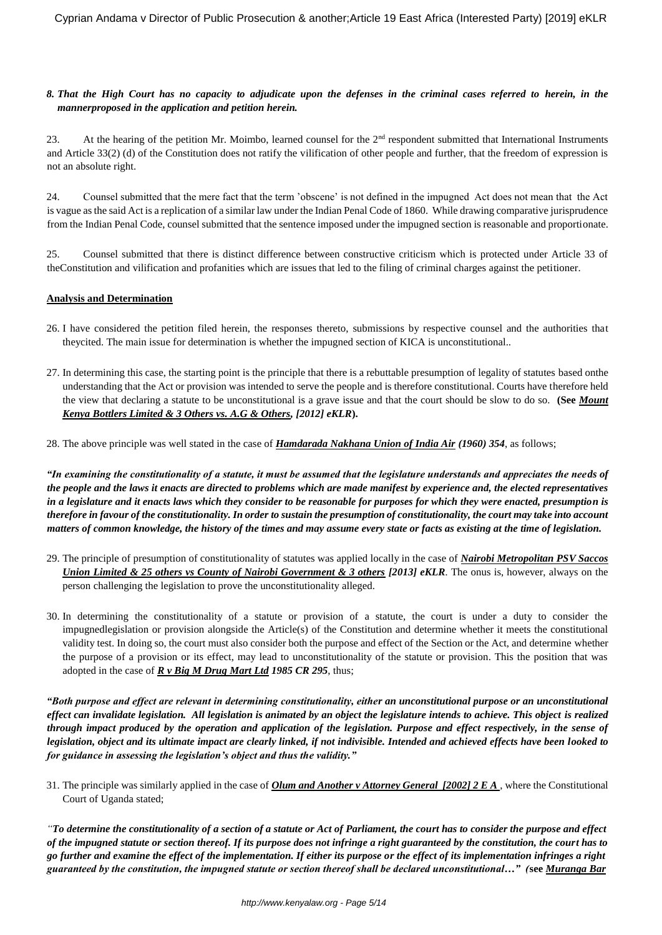#### *8. That the High Court has no capacity to adjudicate upon the defenses in the criminal cases referred to herein, in the mannerproposed in the application and petition herein.*

23. At the hearing of the petition Mr. Moimbo, learned counsel for the 2<sup>nd</sup> respondent submitted that International Instruments and Article 33(2) (d) of the Constitution does not ratify the vilification of other people and further, that the freedom of expression is not an absolute right.

24. Counsel submitted that the mere fact that the term 'obscene' is not defined in the impugned Act does not mean that the Act is vague as the said Act is a replication of a similar law under the Indian Penal Code of 1860. While drawing comparative jurisprudence from the Indian Penal Code, counsel submitted that the sentence imposed under the impugned section is reasonable and proportionate.

25. Counsel submitted that there is distinct difference between constructive criticism which is protected under Article 33 of theConstitution and vilification and profanities which are issues that led to the filing of criminal charges against the petitioner.

## **Analysis and Determination**

- 26. I have considered the petition filed herein, the responses thereto, submissions by respective counsel and the authorities that theycited. The main issue for determination is whether the impugned section of KICA is unconstitutional..
- 27. In determining this case, the starting point is the principle that there is a rebuttable presumption of legality of statutes based onthe understanding that the Act or provision was intended to serve the people and is therefore constitutional. Courts have therefore held the view that declaring a statute to be unconstitutional is a grave issue and that the court should be slow to do so. **(See** *Mount Kenya Bottlers Limited & 3 Others vs. A.G & Others, [2012] eKLR***).**

28. The above principle was well stated in the case of *Hamdarada Nakhana Union of India Air (1960) 354*, as follows;

*"In examining the constitutionality of a statute, it must be assumed that the legislature understands and appreciates the needs of the people and the laws it enacts are directed to problems which are made manifest by experience and, the elected representatives in a legislature and it enacts laws which they consider to be reasonable for purposes for which they were enacted, presumption is therefore in favour of the constitutionality. In order to sustain the presumption of constitutionality, the court may take into account matters of common knowledge, the history of the times and may assume every state or facts as existing at the time of legislation.*

- 29. The principle of presumption of constitutionality of statutes was applied locally in the case of *Nairobi Metropolitan PSV Saccos Union Limited & 25 others vs County of Nairobi Government & 3 others [2013] eKLR.* The onus is, however, always on the person challenging the legislation to prove the unconstitutionality alleged.
- 30. In determining the constitutionality of a statute or provision of a statute, the court is under a duty to consider the impugnedlegislation or provision alongside the Article(s) of the Constitution and determine whether it meets the constitutional validity test. In doing so, the court must also consider both the purpose and effect of the Section or the Act, and determine whether the purpose of a provision or its effect, may lead to unconstitutionality of the statute or provision. This the position that was adopted in the case of *R v Big M Drug Mart Ltd 1985 CR 295*, thus;

*"Both purpose and effect are relevant in determining constitutionality, either an unconstitutional purpose or an unconstitutional effect can invalidate legislation. All legislation is animated by an object the legislature intends to achieve. This object is realized through impact produced by the operation and application of the legislation. Purpose and effect respectively, in the sense of legislation, object and its ultimate impact are clearly linked, if not indivisible. Intended and achieved effects have been looked to for guidance in assessing the legislation's object and thus the validity."*

31. The principle was similarly applied in the case of *Olum and Another v Attorney General [2002] 2 E A* , where the Constitutional Court of Uganda stated;

*"To determine the constitutionality of a section of a statute or Act of Parliament, the court has to consider the purpose and effect of the impugned statute or section thereof. If its purpose does not infringe a right guaranteed by the constitution, the court has to go further and examine the effect of the implementation. If either its purpose or the effect of its implementation infringes a right guaranteed by the constitution, the impugned statute or section thereof shall be declared unconstitutional…" (***see** *Muranga Bar*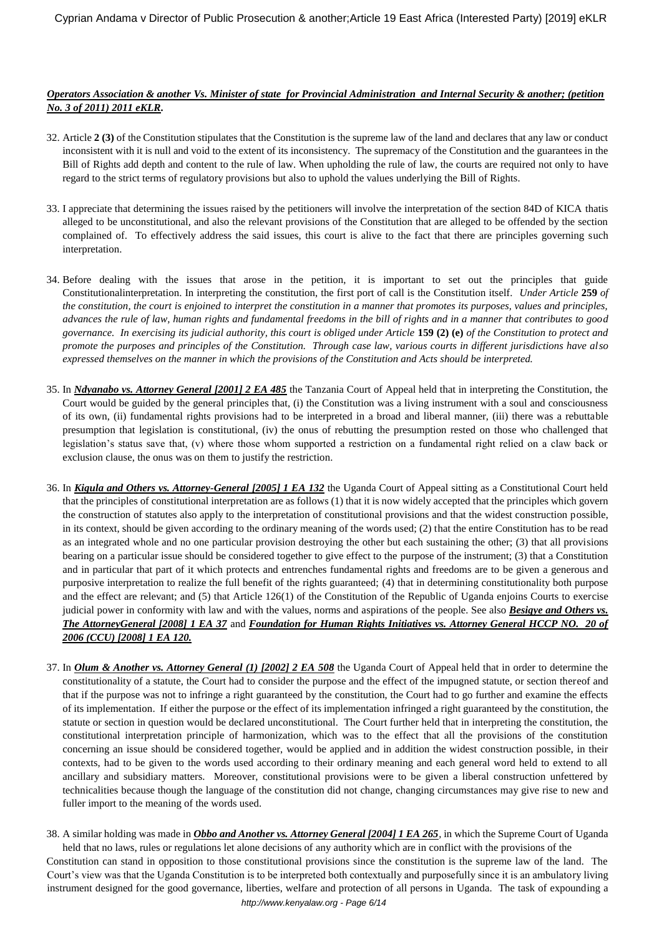## *Operators Association & another Vs. Minister of state for Provincial Administration and Internal Security & another; (petition No. 3 of 2011) 2011 eKLR.*

- 32. Article **2 (3)** of the Constitution stipulates that the Constitution is the supreme law of the land and declares that any law or conduct inconsistent with it is null and void to the extent of its inconsistency. The supremacy of the Constitution and the guarantees in the Bill of Rights add depth and content to the rule of law. When upholding the rule of law, the courts are required not only to have regard to the strict terms of regulatory provisions but also to uphold the values underlying the Bill of Rights.
- 33. I appreciate that determining the issues raised by the petitioners will involve the interpretation of the section 84D of KICA thatis alleged to be unconstitutional, and also the relevant provisions of the Constitution that are alleged to be offended by the section complained of. To effectively address the said issues, this court is alive to the fact that there are principles governing such interpretation.
- 34. Before dealing with the issues that arose in the petition, it is important to set out the principles that guide Constitutionalinterpretation. In interpreting the constitution, the first port of call is the Constitution itself. *Under Article* **259** *of the constitution, the court is enjoined to interpret the constitution in a manner that promotes its purposes, values and principles, advances the rule of law, human rights and fundamental freedoms in the bill of rights and in a manner that contributes to good governance. In exercising its judicial authority, this court is obliged under Article* **159 (2) (e)** *of the Constitution to protect and promote the purposes and principles of the Constitution. Through case law, various courts in different jurisdictions have also expressed themselves on the manner in which the provisions of the Constitution and Acts should be interpreted.*
- 35. In *Ndyanabo vs. Attorney General [2001] 2 EA 485* the Tanzania Court of Appeal held that in interpreting the Constitution, the Court would be guided by the general principles that, (i) the Constitution was a living instrument with a soul and consciousness of its own, (ii) fundamental rights provisions had to be interpreted in a broad and liberal manner, (iii) there was a rebuttable presumption that legislation is constitutional, (iv) the onus of rebutting the presumption rested on those who challenged that legislation's status save that, (v) where those whom supported a restriction on a fundamental right relied on a claw back or exclusion clause, the onus was on them to justify the restriction.
- 36. In *Kigula and Others vs. Attorney-General [2005] 1 EA 132* the Uganda Court of Appeal sitting as a Constitutional Court held that the principles of constitutional interpretation are as follows (1) that it is now widely accepted that the principles which govern the construction of statutes also apply to the interpretation of constitutional provisions and that the widest construction possible, in its context, should be given according to the ordinary meaning of the words used; (2) that the entire Constitution has to be read as an integrated whole and no one particular provision destroying the other but each sustaining the other; (3) that all provisions bearing on a particular issue should be considered together to give effect to the purpose of the instrument; (3) that a Constitution and in particular that part of it which protects and entrenches fundamental rights and freedoms are to be given a generous and purposive interpretation to realize the full benefit of the rights guaranteed; (4) that in determining constitutionality both purpose and the effect are relevant; and (5) that Article 126(1) of the Constitution of the Republic of Uganda enjoins Courts to exercise judicial power in conformity with law and with the values, norms and aspirations of the people. See also *Besigye and Others vs. The AttorneyGeneral [2008] 1 EA 37* and *Foundation for Human Rights Initiatives vs. Attorney General HCCP NO. 20 of 2006 (CCU) [2008] 1 EA 120.*
- 37. In *Olum & Another vs. Attorney General (1) [2002] 2 EA 508* the Uganda Court of Appeal held that in order to determine the constitutionality of a statute, the Court had to consider the purpose and the effect of the impugned statute, or section thereof and that if the purpose was not to infringe a right guaranteed by the constitution, the Court had to go further and examine the effects of its implementation. If either the purpose or the effect of its implementation infringed a right guaranteed by the constitution, the statute or section in question would be declared unconstitutional. The Court further held that in interpreting the constitution, the constitutional interpretation principle of harmonization, which was to the effect that all the provisions of the constitution concerning an issue should be considered together, would be applied and in addition the widest construction possible, in their contexts, had to be given to the words used according to their ordinary meaning and each general word held to extend to all ancillary and subsidiary matters. Moreover, constitutional provisions were to be given a liberal construction unfettered by technicalities because though the language of the constitution did not change, changing circumstances may give rise to new and fuller import to the meaning of the words used.
- *http://www.kenyalaw.org - Page 6/14* 38. A similar holding was made in *Obbo and Another vs. Attorney General [2004] 1 EA 265,* in which the Supreme Court of Uganda held that no laws, rules or regulations let alone decisions of any authority which are in conflict with the provisions of the Constitution can stand in opposition to those constitutional provisions since the constitution is the supreme law of the land. The Court's view was that the Uganda Constitution is to be interpreted both contextually and purposefully since it is an ambulatory living instrument designed for the good governance, liberties, welfare and protection of all persons in Uganda. The task of expounding a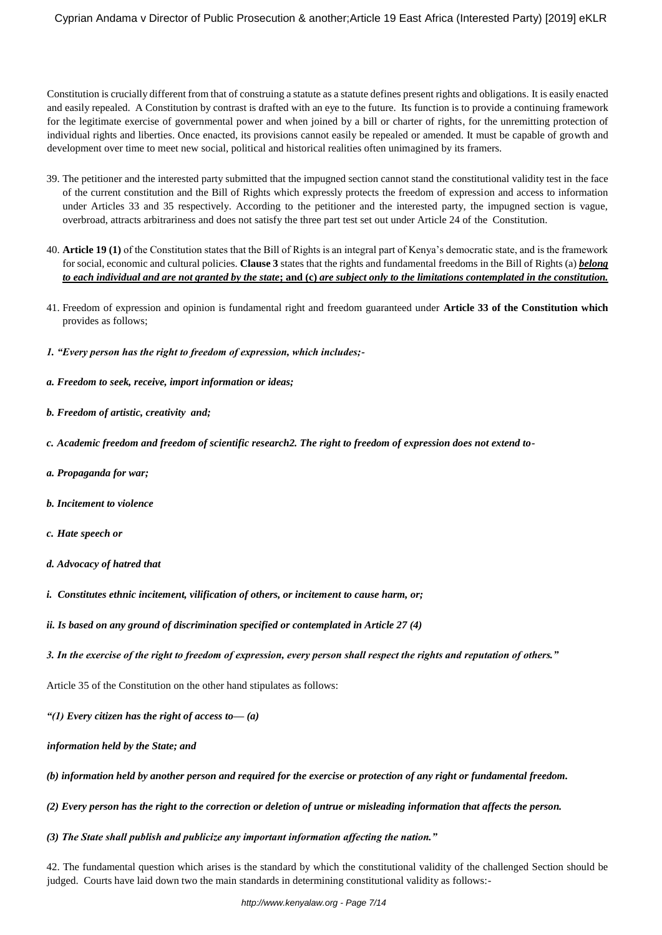Constitution is crucially different from that of construing a statute as a statute defines present rights and obligations. It is easily enacted and easily repealed. A Constitution by contrast is drafted with an eye to the future. Its function is to provide a continuing framework for the legitimate exercise of governmental power and when joined by a bill or charter of rights, for the unremitting protection of individual rights and liberties. Once enacted, its provisions cannot easily be repealed or amended. It must be capable of growth and development over time to meet new social, political and historical realities often unimagined by its framers.

- 39. The petitioner and the interested party submitted that the impugned section cannot stand the constitutional validity test in the face of the current constitution and the Bill of Rights which expressly protects the freedom of expression and access to information under Articles 33 and 35 respectively. According to the petitioner and the interested party, the impugned section is vague, overbroad, attracts arbitrariness and does not satisfy the three part test set out under Article 24 of the Constitution.
- 40. **Article 19 (1)** of the Constitution states that the Bill of Rights is an integral part of Kenya's democratic state, and is the framework for social, economic and cultural policies. **Clause 3** states that the rights and fundamental freedoms in the Bill of Rights (a) *belong to each individual and are not granted by the state***; and (c)** *are subject only to the limitations contemplated in the constitution.*
- 41. Freedom of expression and opinion is fundamental right and freedom guaranteed under **Article 33 of the Constitution which** provides as follows;
- *1. "Every person has the right to freedom of expression, which includes;-*
- *a. Freedom to seek, receive, import information or ideas;*
- *b. Freedom of artistic, creativity and;*
- *c. Academic freedom and freedom of scientific research2. The right to freedom of expression does not extend to-*
- *a. Propaganda for war;*
- *b. Incitement to violence*
- *c. Hate speech or*
- *d. Advocacy of hatred that*
- *i. Constitutes ethnic incitement, vilification of others, or incitement to cause harm, or;*
- *ii. Is based on any ground of discrimination specified or contemplated in Article 27 (4)*
- *3. In the exercise of the right to freedom of expression, every person shall respect the rights and reputation of others."*

Article 35 of the Constitution on the other hand stipulates as follows:

- *"(1) Every citizen has the right of access to— (a)*
- *information held by the State; and*
- *(b) information held by another person and required for the exercise or protection of any right or fundamental freedom.*
- *(2) Every person has the right to the correction or deletion of untrue or misleading information that affects the person.*
- *(3) The State shall publish and publicize any important information affecting the nation."*

42. The fundamental question which arises is the standard by which the constitutional validity of the challenged Section should be judged. Courts have laid down two the main standards in determining constitutional validity as follows:-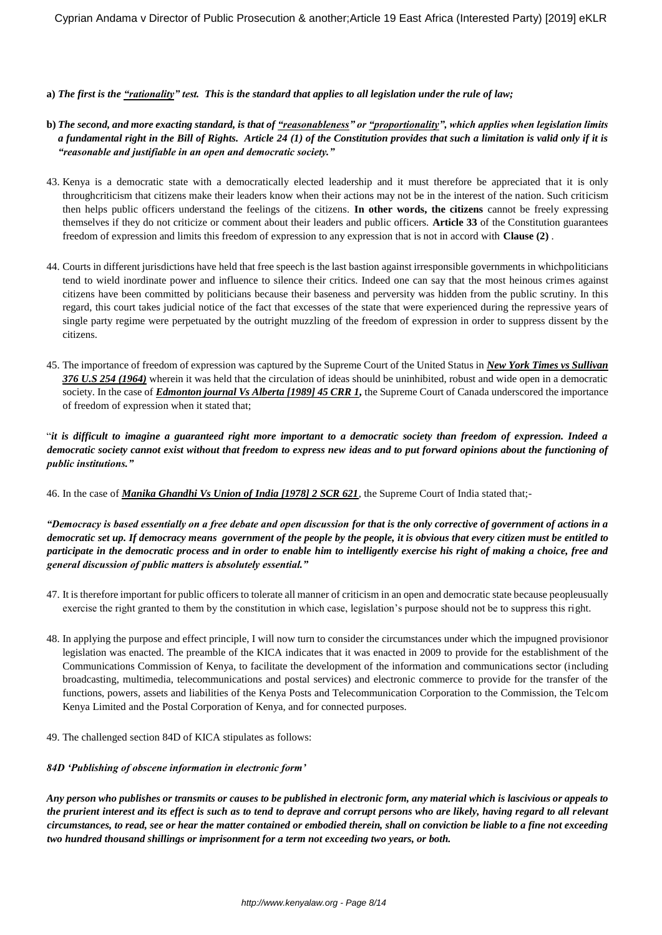#### **a)** *The first is the "rationality" test. This is the standard that applies to all legislation under the rule of law;*

- **b)** *The second, and more exacting standard, is that of "reasonableness" or "proportionality", which applies when legislation limits a fundamental right in the Bill of Rights. Article 24 (1) of the Constitution provides that such a limitation is valid only if it is "reasonable and justifiable in an open and democratic society."*
- 43. Kenya is a democratic state with a democratically elected leadership and it must therefore be appreciated that it is only throughcriticism that citizens make their leaders know when their actions may not be in the interest of the nation. Such criticism then helps public officers understand the feelings of the citizens. **In other words, the citizens** cannot be freely expressing themselves if they do not criticize or comment about their leaders and public officers. **Article 33** of the Constitution guarantees freedom of expression and limits this freedom of expression to any expression that is not in accord with **Clause (2)** .
- 44. Courts in different jurisdictions have held that free speech is the last bastion against irresponsible governments in whichpoliticians tend to wield inordinate power and influence to silence their critics. Indeed one can say that the most heinous crimes against citizens have been committed by politicians because their baseness and perversity was hidden from the public scrutiny. In this regard, this court takes judicial notice of the fact that excesses of the state that were experienced during the repressive years of single party regime were perpetuated by the outright muzzling of the freedom of expression in order to suppress dissent by the citizens.
- 45. The importance of freedom of expression was captured by the Supreme Court of the United Status in *New York Times vs Sullivan 376 U.S 254 (1964)* wherein it was held that the circulation of ideas should be uninhibited, robust and wide open in a democratic society. In the case of *Edmonton journal Vs Alberta [1989] 45 CRR 1*, the Supreme Court of Canada underscored the importance of freedom of expression when it stated that;

"*it is difficult to imagine a guaranteed right more important to a democratic society than freedom of expression. Indeed a democratic society cannot exist without that freedom to express new ideas and to put forward opinions about the functioning of public institutions."*

46. In the case of *Manika Ghandhi Vs Union of India [1978] 2 SCR 621*, the Supreme Court of India stated that;-

*"Democracy is based essentially on a free debate and open discussion for that is the only corrective of government of actions in a democratic set up. If democracy means government of the people by the people, it is obvious that every citizen must be entitled to participate in the democratic process and in order to enable him to intelligently exercise his right of making a choice, free and general discussion of public matters is absolutely essential."*

- 47. It is therefore important for public officers to tolerate all manner of criticism in an open and democratic state because peopleusually exercise the right granted to them by the constitution in which case, legislation's purpose should not be to suppress this right.
- 48. In applying the purpose and effect principle, I will now turn to consider the circumstances under which the impugned provisionor legislation was enacted. The preamble of the KICA indicates that it was enacted in 2009 to provide for the establishment of the Communications Commission of Kenya, to facilitate the development of the information and communications sector (including broadcasting, multimedia, telecommunications and postal services) and electronic commerce to provide for the transfer of the functions, powers, assets and liabilities of the Kenya Posts and Telecommunication Corporation to the Commission, the Telcom Kenya Limited and the Postal Corporation of Kenya, and for connected purposes.
- 49. The challenged section 84D of KICA stipulates as follows:

## *84D 'Publishing of obscene information in electronic form'*

*Any person who publishes or transmits or causes to be published in electronic form, any material which is lascivious or appeals to the prurient interest and its effect is such as to tend to deprave and corrupt persons who are likely, having regard to all relevant circumstances, to read, see or hear the matter contained or embodied therein, shall on conviction be liable to a fine not exceeding two hundred thousand shillings or imprisonment for a term not exceeding two years, or both.*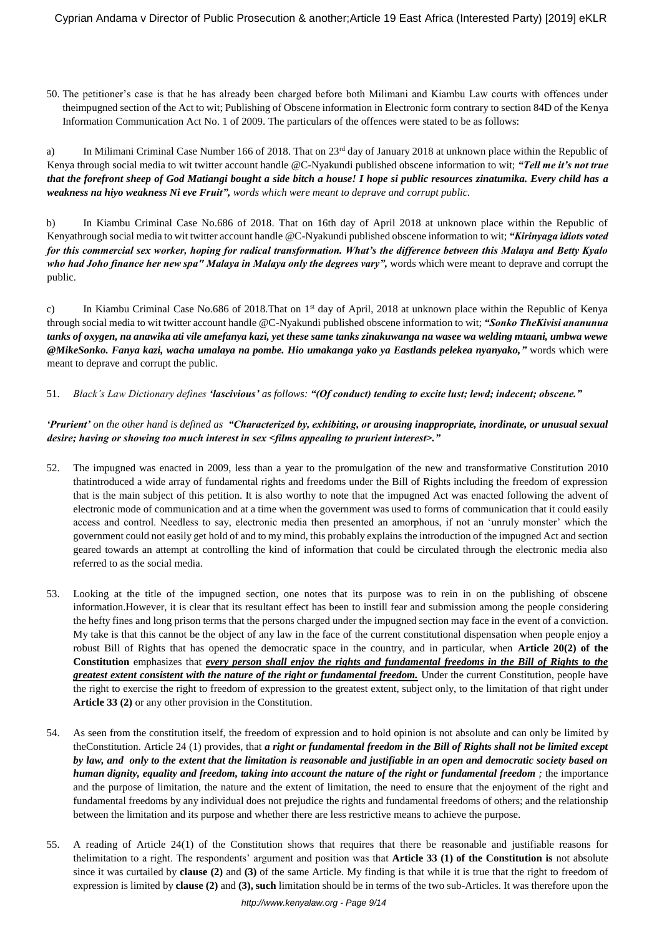50. The petitioner's case is that he has already been charged before both Milimani and Kiambu Law courts with offences under theimpugned section of the Act to wit; Publishing of Obscene information in Electronic form contrary to section 84D of the Kenya Information Communication Act No. 1 of 2009. The particulars of the offences were stated to be as follows:

a) In Milimani Criminal Case Number 166 of 2018. That on  $23<sup>rd</sup>$  day of January 2018 at unknown place within the Republic of Kenya through social media to wit twitter account handle @C-Nyakundi published obscene information to wit; *"Tell me it's not true that the forefront sheep of God Matiangi bought a side bitch a house! I hope si public resources zinatumika. Every child has a weakness na hiyo weakness Ni eve Fruit", words which were meant to deprave and corrupt public.* 

b) In Kiambu Criminal Case No.686 of 2018. That on 16th day of April 2018 at unknown place within the Republic of Kenyathrough social media to wit twitter account handle @C-Nyakundi published obscene information to wit; *"Kirinyaga idiots voted for this commercial sex worker, hoping for radical transformation. What's the difference between this Malaya and Betty Kyalo who had Joho finance her new spa" Malaya in Malaya only the degrees vary",* words which were meant to deprave and corrupt the public.

c) In Kiambu Criminal Case No.686 of 2018. That on 1<sup>st</sup> day of April, 2018 at unknown place within the Republic of Kenya through social media to wit twitter account handle @C-Nyakundi published obscene information to wit; *"Sonko TheKivisi ananunua tanks of oxygen, na anawika ati vile amefanya kazi, yet these same tanks zinakuwanga na wasee wa welding mtaani, umbwa wewe @MikeSonko. Fanya kazi, wacha umalaya na pombe. Hio umakanga yako ya Eastlands pelekea nyanyako,"* words which were meant to deprave and corrupt the public.

#### 51. *Black's Law Dictionary defines 'lascivious' as follows: "(Of conduct) tending to excite lust; lewd; indecent; obscene."*

## *'Prurient' on the other hand is defined as "Characterized by, exhibiting, or arousing inappropriate, inordinate, or unusual sexual desire; having or showing too much interest in sex <films appealing to prurient interest>."*

- 52. The impugned was enacted in 2009, less than a year to the promulgation of the new and transformative Constitution 2010 thatintroduced a wide array of fundamental rights and freedoms under the Bill of Rights including the freedom of expression that is the main subject of this petition. It is also worthy to note that the impugned Act was enacted following the advent of electronic mode of communication and at a time when the government was used to forms of communication that it could easily access and control. Needless to say, electronic media then presented an amorphous, if not an 'unruly monster' which the government could not easily get hold of and to my mind, this probably explains the introduction of the impugned Act and section geared towards an attempt at controlling the kind of information that could be circulated through the electronic media also referred to as the social media.
- 53. Looking at the title of the impugned section, one notes that its purpose was to rein in on the publishing of obscene information.However, it is clear that its resultant effect has been to instill fear and submission among the people considering the hefty fines and long prison terms that the persons charged under the impugned section may face in the event of a conviction. My take is that this cannot be the object of any law in the face of the current constitutional dispensation when people enjoy a robust Bill of Rights that has opened the democratic space in the country, and in particular, when **Article 20(2) of the Constitution** emphasizes that *every person shall enjoy the rights and fundamental freedoms in the Bill of Rights to the greatest extent consistent with the nature of the right or fundamental freedom.* Under the current Constitution, people have the right to exercise the right to freedom of expression to the greatest extent, subject only, to the limitation of that right under **Article 33 (2)** or any other provision in the Constitution.
- 54. As seen from the constitution itself, the freedom of expression and to hold opinion is not absolute and can only be limited by theConstitution. Article 24 (1) provides, that *a right or fundamental freedom in the Bill of Rights shall not be limited except by law, and only to the extent that the limitation is reasonable and justifiable in an open and democratic society based on human dignity, equality and freedom, taking into account the nature of the right or fundamental freedom ;* the importance and the purpose of limitation, the nature and the extent of limitation, the need to ensure that the enjoyment of the right and fundamental freedoms by any individual does not prejudice the rights and fundamental freedoms of others; and the relationship between the limitation and its purpose and whether there are less restrictive means to achieve the purpose.
- 55. A reading of Article 24(1) of the Constitution shows that requires that there be reasonable and justifiable reasons for thelimitation to a right. The respondents' argument and position was that **Article 33 (1) of the Constitution is** not absolute since it was curtailed by **clause (2)** and **(3)** of the same Article. My finding is that while it is true that the right to freedom of expression is limited by **clause (2)** and **(3), such** limitation should be in terms of the two sub-Articles. It was therefore upon the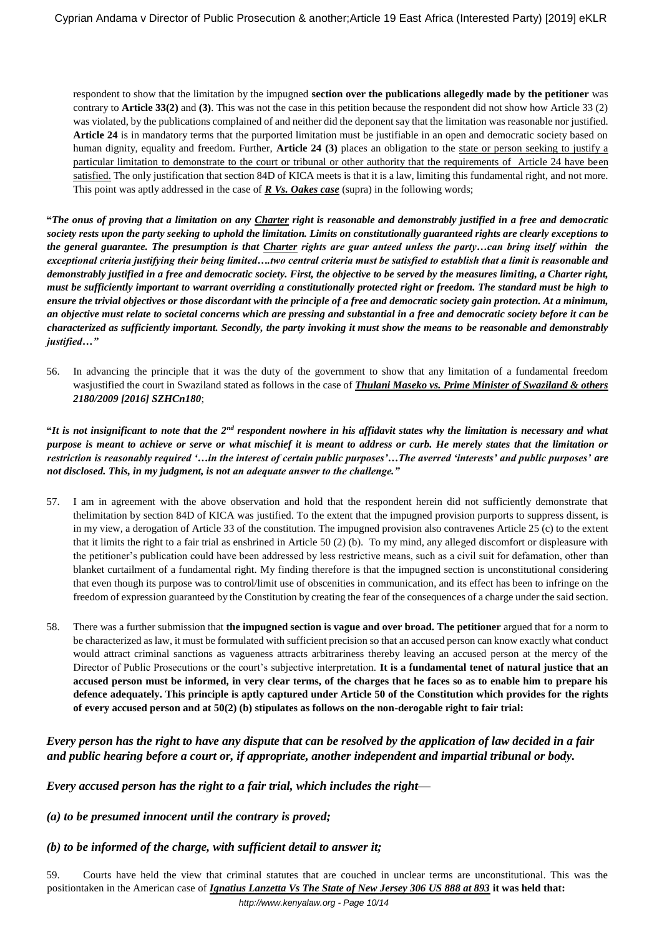respondent to show that the limitation by the impugned **section over the publications allegedly made by the petitioner** was contrary to **Article 33(2)** and **(3)**. This was not the case in this petition because the respondent did not show how Article 33 (2) was violated, by the publications complained of and neither did the deponent say that the limitation was reasonable nor justified. **Article 24** is in mandatory terms that the purported limitation must be justifiable in an open and democratic society based on human dignity, equality and freedom. Further, **Article 24 (3)** places an obligation to the state or person seeking to justify a particular limitation to demonstrate to the court or tribunal or other authority that the requirements of Article 24 have been satisfied. The only justification that section 84D of KICA meets is that it is a law, limiting this fundamental right, and not more. This point was aptly addressed in the case of *R Vs. Oakes case* (supra) in the following words;

**"***The onus of proving that a limitation on any Charter right is reasonable and demonstrably justified in a free and democratic society rests upon the party seeking to uphold the limitation. Limits on constitutionally guaranteed rights are clearly exceptions to the general guarantee. The presumption is that Charter rights are guar anteed unless the party…can bring itself within the exceptional criteria justifying their being limited….two central criteria must be satisfied to establish that a limit is reasonable and demonstrably justified in a free and democratic society. First, the objective to be served by the measures limiting, a Charter right, must be sufficiently important to warrant overriding a constitutionally protected right or freedom. The standard must be high to ensure the trivial objectives or those discordant with the principle of a free and democratic society gain protection. At a minimum, an objective must relate to societal concerns which are pressing and substantial in a free and democratic society before it can be characterized as sufficiently important. Secondly, the party invoking it must show the means to be reasonable and demonstrably justified…"*

56. In advancing the principle that it was the duty of the government to show that any limitation of a fundamental freedom wasjustified the court in Swaziland stated as follows in the case of *Thulani Maseko vs. Prime Minister of Swaziland & others 2180/2009 [2016] SZHCn180*;

**"***It is not insignificant to note that the 2nd respondent nowhere in his affidavit states why the limitation is necessary and what purpose is meant to achieve or serve or what mischief it is meant to address or curb. He merely states that the limitation or restriction is reasonably required '…in the interest of certain public purposes'…The averred 'interests' and public purposes' are not disclosed. This, in my judgment, is not an adequate answer to the challenge."*

- 57. I am in agreement with the above observation and hold that the respondent herein did not sufficiently demonstrate that thelimitation by section 84D of KICA was justified. To the extent that the impugned provision purports to suppress dissent, is in my view, a derogation of Article 33 of the constitution. The impugned provision also contravenes Article 25 (c) to the extent that it limits the right to a fair trial as enshrined in Article 50 (2) (b). To my mind, any alleged discomfort or displeasure with the petitioner's publication could have been addressed by less restrictive means, such as a civil suit for defamation, other than blanket curtailment of a fundamental right. My finding therefore is that the impugned section is unconstitutional considering that even though its purpose was to control/limit use of obscenities in communication, and its effect has been to infringe on the freedom of expression guaranteed by the Constitution by creating the fear of the consequences of a charge under the said section.
- 58. There was a further submission that **the impugned section is vague and over broad. The petitioner** argued that for a norm to be characterized as law, it must be formulated with sufficient precision so that an accused person can know exactly what conduct would attract criminal sanctions as vagueness attracts arbitrariness thereby leaving an accused person at the mercy of the Director of Public Prosecutions or the court's subjective interpretation. **It is a fundamental tenet of natural justice that an accused person must be informed, in very clear terms, of the charges that he faces so as to enable him to prepare his defence adequately. This principle is aptly captured under Article 50 of the Constitution which provides for the rights of every accused person and at 50(2) (b) stipulates as follows on the non-derogable right to fair trial:**

# *Every person has the right to have any dispute that can be resolved by the application of law decided in a fair and public hearing before a court or, if appropriate, another independent and impartial tribunal or body.*

*Every accused person has the right to a fair trial, which includes the right—*

*(a) to be presumed innocent until the contrary is proved;*

*(b) to be informed of the charge, with sufficient detail to answer it;*

59. Courts have held the view that criminal statutes that are couched in unclear terms are unconstitutional. This was the positiontaken in the American case of *Ignatius Lanzetta Vs The State of New Jersey 306 US 888 at 893* **it was held that:**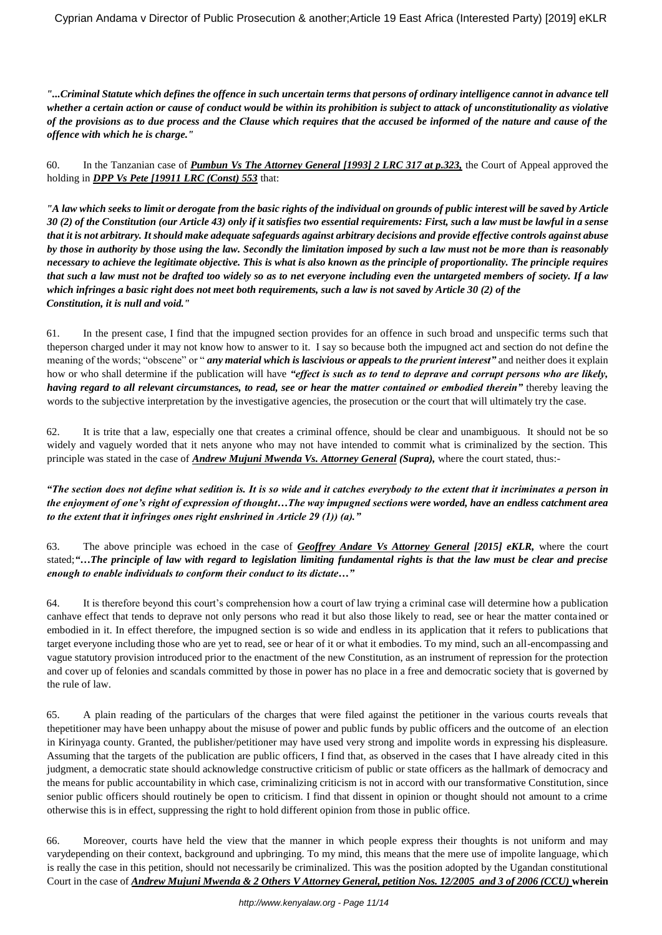*"...Criminal Statute which defines the offence in such uncertain terms that persons of ordinary intelligence cannot in advance tell whether a certain action or cause of conduct would be within its prohibition is subject to attack of unconstitutionality as violative of the provisions as to due process and the Clause which requires that the accused be informed of the nature and cause of the offence with which he is charge."*

60. In the Tanzanian case of *Pumbun Vs The Attorney General [1993] 2 LRC 317 at p.323,* the Court of Appeal approved the holding in *DPP Vs Pete [19911 LRC (Const) 553* that:

*"A law which seeks to limit or derogate from the basic rights of the individual on grounds of public interest will be saved by Article 30 (2) of the Constitution (our Article 43) only if it satisfies two essential requirements: First, such a law must be lawful in a sense that it is not arbitrary. It should make adequate safeguards against arbitrary decisions and provide effective controls against abuse by those in authority by those using the law. Secondly the limitation imposed by such a law must not be more than is reasonably necessary to achieve the legitimate objective. This is what is also known as the principle of proportionality. The principle requires that such a law must not be drafted too widely so as to net everyone including even the untargeted members of society. If a law which infringes a basic right does not meet both requirements, such a law is not saved by Article 30 (2) of the Constitution, it is null and void."*

61. In the present case, I find that the impugned section provides for an offence in such broad and unspecific terms such that theperson charged under it may not know how to answer to it. I say so because both the impugned act and section do not define the meaning of the words; "obscene" or "*any material which is lascivious or appeals to the prurient interest***" and neither does it explain** how or who shall determine if the publication will have *"effect is such as to tend to deprave and corrupt persons who are likely, having regard to all relevant circumstances, to read, see or hear the matter contained or embodied therein"* thereby leaving the words to the subjective interpretation by the investigative agencies, the prosecution or the court that will ultimately try the case.

62. It is trite that a law, especially one that creates a criminal offence, should be clear and unambiguous. It should not be so widely and vaguely worded that it nets anyone who may not have intended to commit what is criminalized by the section. This principle was stated in the case of *Andrew Mujuni Mwenda Vs. Attorney General (Supra),* where the court stated, thus:-

*"The section does not define what sedition is. It is so wide and it catches everybody to the extent that it incriminates a person in the enjoyment of one's right of expression of thought…The way impugned sections were worded, have an endless catchment area to the extent that it infringes ones right enshrined in Article 29 (1)) (a)."*

63. The above principle was echoed in the case of *Geoffrey Andare Vs Attorney General [2015] eKLR,* where the court stated;*"***…***The principle of law with regard to legislation limiting fundamental rights is that the law must be clear and precise enough to enable individuals to conform their conduct to its dictate…"*

64. It is therefore beyond this court's comprehension how a court of law trying a criminal case will determine how a publication canhave effect that tends to deprave not only persons who read it but also those likely to read, see or hear the matter contained or embodied in it. In effect therefore, the impugned section is so wide and endless in its application that it refers to publications that target everyone including those who are yet to read, see or hear of it or what it embodies. To my mind, such an all-encompassing and vague statutory provision introduced prior to the enactment of the new Constitution, as an instrument of repression for the protection and cover up of felonies and scandals committed by those in power has no place in a free and democratic society that is governed by the rule of law.

65. A plain reading of the particulars of the charges that were filed against the petitioner in the various courts reveals that thepetitioner may have been unhappy about the misuse of power and public funds by public officers and the outcome of an election in Kirinyaga county. Granted, the publisher/petitioner may have used very strong and impolite words in expressing his displeasure. Assuming that the targets of the publication are public officers, I find that, as observed in the cases that I have already cited in this judgment, a democratic state should acknowledge constructive criticism of public or state officers as the hallmark of democracy and the means for public accountability in which case, criminalizing criticism is not in accord with our transformative Constitution, since senior public officers should routinely be open to criticism. I find that dissent in opinion or thought should not amount to a crime otherwise this is in effect, suppressing the right to hold different opinion from those in public office.

66. Moreover, courts have held the view that the manner in which people express their thoughts is not uniform and may varydepending on their context, background and upbringing. To my mind, this means that the mere use of impolite language, which is really the case in this petition, should not necessarily be criminalized. This was the position adopted by the Ugandan constitutional Court in the case of *Andrew Mujuni Mwenda & 2 Others V Attorney General, petition Nos. 12/2005 and 3 of 2006 (CCU)* **wherein**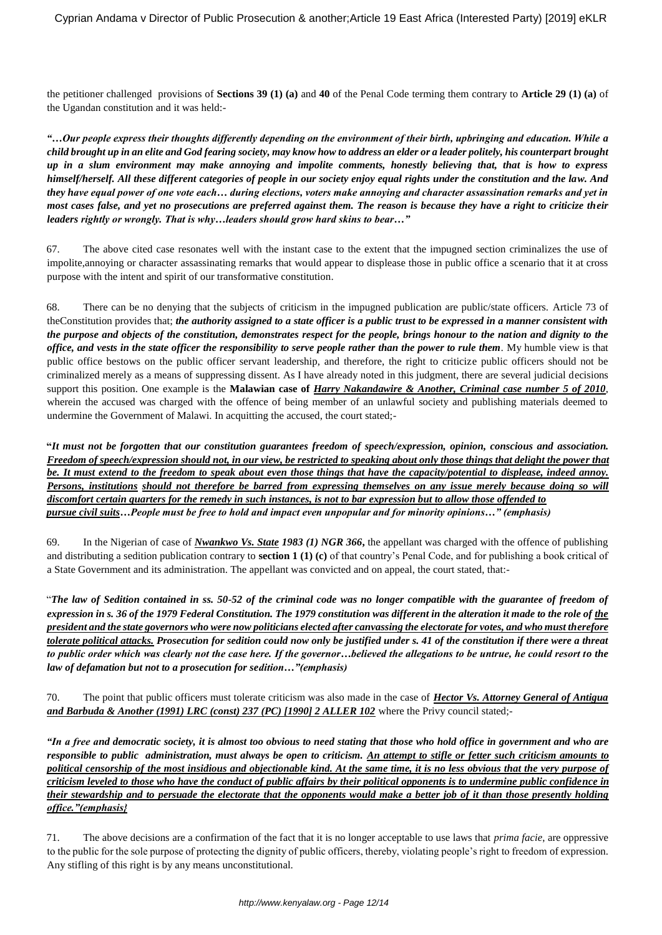the petitioner challenged provisions of **Sections 39 (1) (a)** and **40** of the Penal Code terming them contrary to **Article 29 (1) (a)** of the Ugandan constitution and it was held:-

*"…Our people express their thoughts differently depending on the environment of their birth, upbringing and education. While a child brought up in an elite and God fearing society, may know how to address an elder or a leader politely, his counterpart brought up in a slum environment may make annoying and impolite comments, honestly believing that, that is how to express himself/herself. All these different categories of people in our society enjoy equal rights under the constitution and the law. And they have equal power of one vote each… during elections, voters make annoying and character assassination remarks and yet in most cases false, and yet no prosecutions are preferred against them. The reason is because they have a right to criticize their leaders rightly or wrongly. That is why…leaders should grow hard skins to bear…"*

67. The above cited case resonates well with the instant case to the extent that the impugned section criminalizes the use of impolite,annoying or character assassinating remarks that would appear to displease those in public office a scenario that it at cross purpose with the intent and spirit of our transformative constitution.

68. There can be no denying that the subjects of criticism in the impugned publication are public/state officers. Article 73 of theConstitution provides that; *the authority assigned to a state officer is a public trust to be expressed in a manner consistent with the purpose and objects of the constitution, demonstrates respect for the people, brings honour to the nation and dignity to the office, and vests in the state officer the responsibility to serve people rather than the power to rule them.* My humble view is that public office bestows on the public officer servant leadership, and therefore, the right to criticize public officers should not be criminalized merely as a means of suppressing dissent. As I have already noted in this judgment, there are several judicial decisions support this position. One example is the **Malawian case of** *Harry Nakandawire & Another, Criminal case number 5 of 2010*, wherein the accused was charged with the offence of being member of an unlawful society and publishing materials deemed to undermine the Government of Malawi. In acquitting the accused, the court stated;-

**"***It must not be forgotten that our constitution guarantees freedom of speech/expression, opinion, conscious and association. Freedom of speech/expression should not, in our view, be restricted to speaking about only those things that delight the power that be. It must extend to the freedom to speak about even those things that have the capacity/potential to displease, indeed annoy. Persons, institutions should not therefore be barred from expressing themselves on any issue merely because doing so will discomfort certain quarters for the remedy in such instances, is not to bar expression but to allow those offended to pursue civil suits…People must be free to hold and impact even unpopular and for minority opinions…" (emphasis)*

69. In the Nigerian of case of *Nwankwo Vs. State 1983 (1) NGR 366***,** the appellant was charged with the offence of publishing and distributing a sedition publication contrary to **section 1 (1) (c)** of that country's Penal Code, and for publishing a book critical of a State Government and its administration. The appellant was convicted and on appeal, the court stated, that:-

"*The law of Sedition contained in ss. 50-52 of the criminal code was no longer compatible with the guarantee of freedom of expression in s. 36 of the 1979 Federal Constitution. The 1979 constitution was different in the alteration it made to the role of the president and the state governors who were now politicians elected after canvassing the electorate for votes, and who must therefore tolerate political attacks. Prosecution for sedition could now only be justified under s. 41 of the constitution if there were a threat to public order which was clearly not the case here. If the governor…believed the allegations to be untrue, he could resort to the law of defamation but not to a prosecution for sedition…"(emphasis)*

70. The point that public officers must tolerate criticism was also made in the case of *Hector Vs. Attorney General of Antigua and Barbuda & Another (1991) LRC (const) 237 (PC) [1990] 2 ALLER 102* where the Privy council stated;-

*"In a free and democratic society, it is almost too obvious to need stating that those who hold office in government and who are responsible to public administration, must always be open to criticism. An attempt to stifle or fetter such criticism amounts to political censorship of the most insidious and objectionable kind. At the same time, it is no less obvious that the very purpose of criticism leveled to those who have the conduct of public affairs by their political opponents is to undermine public confidence in their stewardship and to persuade the electorate that the opponents would make a better job of it than those presently holding office."(emphasis}*

71. The above decisions are a confirmation of the fact that it is no longer acceptable to use laws that *prima facie*, are oppressive to the public for the sole purpose of protecting the dignity of public officers, thereby, violating people's right to freedom of expression. Any stifling of this right is by any means unconstitutional.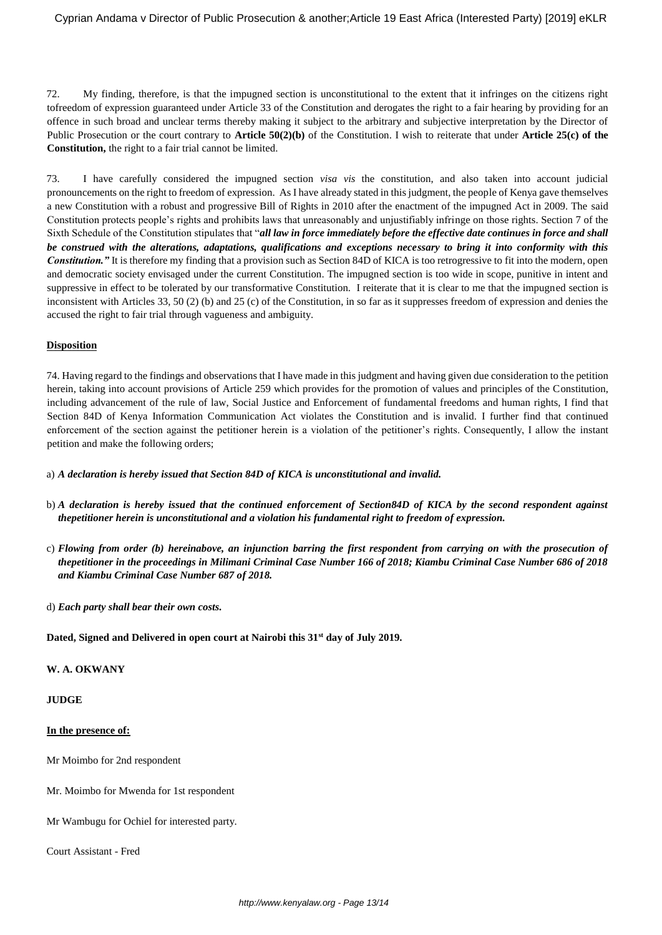72. My finding, therefore, is that the impugned section is unconstitutional to the extent that it infringes on the citizens right tofreedom of expression guaranteed under Article 33 of the Constitution and derogates the right to a fair hearing by providing for an offence in such broad and unclear terms thereby making it subject to the arbitrary and subjective interpretation by the Director of Public Prosecution or the court contrary to **Article 50(2)(b)** of the Constitution. I wish to reiterate that under **Article 25(c) of the Constitution,** the right to a fair trial cannot be limited.

73. I have carefully considered the impugned section *visa vis* the constitution, and also taken into account judicial pronouncements on the right to freedom of expression. As I have already stated in this judgment, the people of Kenya gave themselves a new Constitution with a robust and progressive Bill of Rights in 2010 after the enactment of the impugned Act in 2009. The said Constitution protects people's rights and prohibits laws that unreasonably and unjustifiably infringe on those rights. Section 7 of the Sixth Schedule of the Constitution stipulates that "*all law in force immediately before the effective date continues in force and shall be construed with the alterations, adaptations, qualifications and exceptions necessary to bring it into conformity with this*  **Constitution.**" It is therefore my finding that a provision such as Section 84D of KICA is too retrogressive to fit into the modern, open and democratic society envisaged under the current Constitution. The impugned section is too wide in scope, punitive in intent and suppressive in effect to be tolerated by our transformative Constitution. I reiterate that it is clear to me that the impugned section is inconsistent with Articles 33, 50 (2) (b) and 25 (c) of the Constitution, in so far as it suppresses freedom of expression and denies the accused the right to fair trial through vagueness and ambiguity.

## **Disposition**

74. Having regard to the findings and observations that I have made in this judgment and having given due consideration to the petition herein, taking into account provisions of Article 259 which provides for the promotion of values and principles of the Constitution, including advancement of the rule of law, Social Justice and Enforcement of fundamental freedoms and human rights, I find that Section 84D of Kenya Information Communication Act violates the Constitution and is invalid. I further find that continued enforcement of the section against the petitioner herein is a violation of the petitioner's rights. Consequently, I allow the instant petition and make the following orders;

a) *A declaration is hereby issued that Section 84D of KICA is unconstitutional and invalid.*

- b) *A declaration is hereby issued that the continued enforcement of Section84D of KICA by the second respondent against thepetitioner herein is unconstitutional and a violation his fundamental right to freedom of expression.*
- c) *Flowing from order (b) hereinabove, an injunction barring the first respondent from carrying on with the prosecution of thepetitioner in the proceedings in Milimani Criminal Case Number 166 of 2018; Kiambu Criminal Case Number 686 of 2018 and Kiambu Criminal Case Number 687 of 2018.*
- d) *Each party shall bear their own costs.*

**Dated, Signed and Delivered in open court at Nairobi this 31st day of July 2019.**

#### **W. A. OKWANY**

#### **JUDGE**

#### **In the presence of:**

Mr Moimbo for 2nd respondent

Mr. Moimbo for Mwenda for 1st respondent

Mr Wambugu for Ochiel for interested party.

Court Assistant - Fred